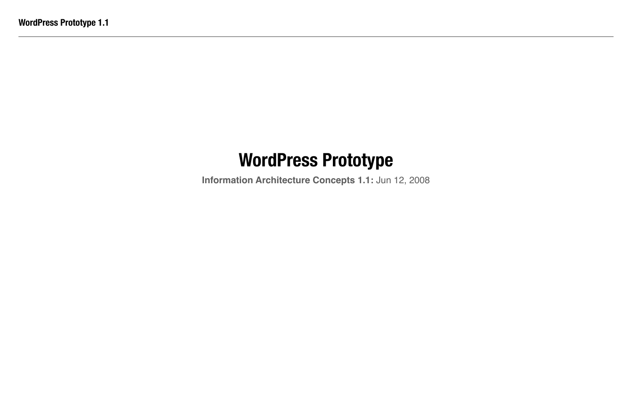**Information Architecture Concepts 1.1:** Jun 12, 2008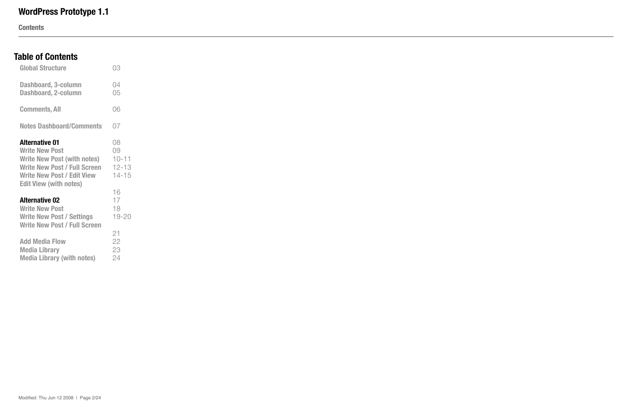**Contents**

### **Table of Contents**

| <b>Global Structure</b>                                                                                                                                                                           | 03                                              |
|---------------------------------------------------------------------------------------------------------------------------------------------------------------------------------------------------|-------------------------------------------------|
| <b>Dashboard, 3-column</b><br><b>Dashboard, 2-column</b>                                                                                                                                          | 04<br>05                                        |
| <b>Comments, All</b>                                                                                                                                                                              | 06                                              |
| <b>Notes Dashboard/Comments</b>                                                                                                                                                                   | 07                                              |
| <b>Alternative 01</b><br><b>Write New Post</b><br><b>Write New Post (with notes)</b><br><b>Write New Post / Full Screen</b><br><b>Write New Post / Edit View</b><br><b>Edit View (with notes)</b> | 08<br>09<br>$10 - 11$<br>$12 - 13$<br>$14 - 15$ |
| <b>Alternative 02</b><br><b>Write New Post</b><br><b>Write New Post / Settings</b><br><b>Write New Post / Full Screen</b>                                                                         | 16<br>17<br>18<br>$19 - 20$                     |
| <b>Add Media Flow</b><br><b>Media Library</b><br><b>Media Library (with notes)</b>                                                                                                                | 21<br>22<br>23<br>24                            |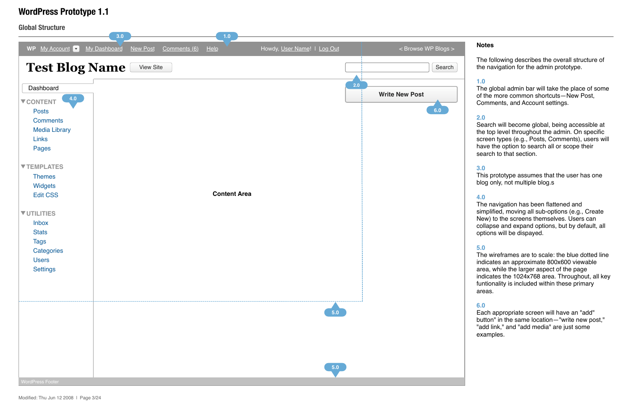**Global Structure**

#### **Notes**

### **WordPress Prototype 1.1**

The following describes the overall structure of the navigation for the admin prototype.

#### **1.0**

The global admin bar will take the place of some of the more common shortcuts—New Post, Comments, and Account settings.

#### **2.0**

Search will become global, being accessible at the top level throughout the admin. On specific screen types (e.g., Posts, Comments), users will have the option to search all or scope their search to that section.



#### **3.0**

This prototype assumes that the user has one blog only, not multiple blog.s

#### **4.0**

The navigation has been flattened and simplified, moving all sub-options (e.g., Create New) to the screens themselves. Users can collapse and expand options, but by default, all options will be dispayed.

#### **5.0**

The wireframes are to scale: the blue dotted line indicates an approximate 800x600 viewable area, while the larger aspect of the page indicates the 1024x768 area. Throughout, all key funtionality is included within these primary areas.

#### **6.0**

Each appropriate screen will have an "add" button" in the same location—"write new post," "add link," and "add media" are just some examples.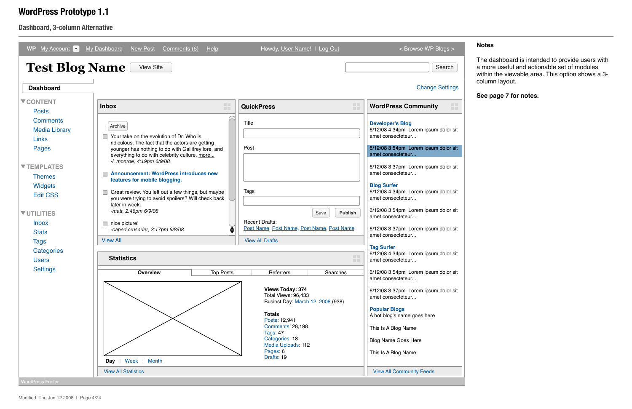### **Dashboard, 3-column Alternative**

| <b>Test Blog Name</b>                                   | <b>View Site</b>                                                                                                                                        |                                                                                     | Search                                                                               |
|---------------------------------------------------------|---------------------------------------------------------------------------------------------------------------------------------------------------------|-------------------------------------------------------------------------------------|--------------------------------------------------------------------------------------|
| <b>Dashboard</b>                                        |                                                                                                                                                         |                                                                                     | <b>Change Settings</b>                                                               |
| <b>V CONTENT</b><br><b>Posts</b>                        | m<br><b>Inbox</b><br><b>TILL</b>                                                                                                                        | H I<br><b>QuickPress</b><br>n Ti                                                    | Ħ<br><b>WordPress Community</b>                                                      |
| <b>Comments</b><br><b>Media Library</b><br><b>Links</b> | Archive<br>Your take on the evolution of Dr. Who is                                                                                                     | <b>Title</b>                                                                        | <b>Developer's Blog</b><br>6/12/08 4:34pm Lorem ipsum dolor sit<br>amet consecteteur |
| <b>Pages</b>                                            | ridiculous. The fact that the actors are getting<br>younger has nothing to do with Gallifrey lore, and<br>everything to do with celebrity culture. more | Post                                                                                | 6/12/08 3:54pm Lorem ipsum dolor sit<br>amet consecteteur                            |
| <b>VTEMPLATES</b><br><b>Themes</b>                      | -I. monroe, 4:19pm 6/9/08<br><b>Announcement: WordPress introduces new</b>                                                                              |                                                                                     | 6/12/08 3:37pm Lorem ipsum dolor sit<br>amet consecteteur                            |
| <b>Widgets</b><br><b>Edit CSS</b>                       | features for mobile blogging.<br>Great review. You left out a few things, but maybe<br>you were trying to avoid spoilers? Will check back               | <b>Tags</b>                                                                         | <b>Blog Surfer</b><br>6/12/08 4:34pm Lorem ipsum dolor sit<br>amet consecteteur      |
| <b>VUTILITIES</b>                                       | later in week.<br>-matt, 2:46pm 6/9/08                                                                                                                  | Publish<br>Save                                                                     | 6/12/08 3:54pm Lorem ipsum dolor sit<br>amet consecteteur                            |
| <b>Inbox</b><br><b>Stats</b>                            | nice picture!<br>♦<br>-caped crusader, 3:17pm 6/8/08                                                                                                    | <b>Recent Drafts:</b><br>Post Name, Post Name, Post Name, Post Name                 | 6/12/08 3:37pm Lorem ipsum dolor sit<br>amet consecteteur                            |
| <b>Tags</b><br>Categories<br><b>Users</b>               | <b>View All</b><br><b>Statistics</b>                                                                                                                    | <b>View All Drafts</b><br>n an<br><b>TITLE</b>                                      | <b>Tag Surfer</b><br>6/12/08 4:34pm Lorem ipsum dolor sit<br>amet consecteteur       |
| <b>Settings</b>                                         | <b>Overview</b><br><b>Top Posts</b>                                                                                                                     | Referrers<br>Searches                                                               | 6/12/08 3:54pm Lorem ipsum dolor sit<br>amet consecteteur                            |
|                                                         |                                                                                                                                                         | <b>Views Today: 374</b><br>Total Views: 96,433<br>Busiest Day: March 12, 2008 (938) | 6/12/08 3:37pm Lorem ipsum dolor sit<br>amet consecteteur                            |
|                                                         |                                                                                                                                                         | <b>Totals</b><br>Posts: 12,941                                                      | <b>Popular Blogs</b><br>A hot blog's name goes here                                  |
|                                                         |                                                                                                                                                         | <b>Comments: 28,198</b><br>Tags: 47                                                 | This Is A Blog Name                                                                  |
|                                                         |                                                                                                                                                         | Categories: 18<br>Media Uploads: 112<br>Pages: 6                                    | <b>Blog Name Goes Here</b>                                                           |
|                                                         | Week   Month<br>Day $ $                                                                                                                                 | Drafts: 19                                                                          | This Is A Blog Name                                                                  |
|                                                         | <b>View All Statistics</b>                                                                                                                              |                                                                                     | <b>View All Community Feeds</b>                                                      |

#### **Notes**

### **WordPress Prototype 1.1**

The dashboard is intended to provide users with a more useful and actionable set of modules within the viewable area. This option shows a 3column layout.

**See page 7 for notes.**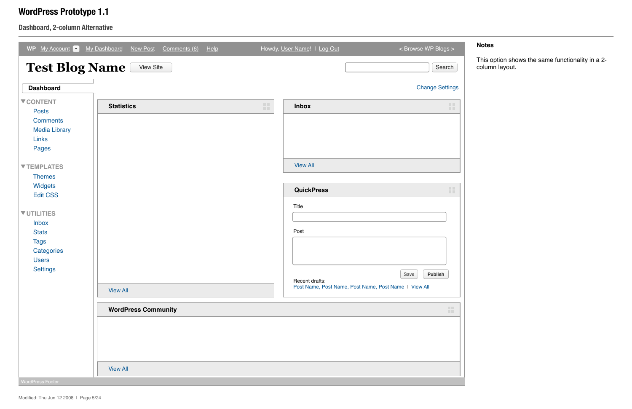| $\sqrt{My$ Account<br><b>WP</b>                                                                      | My Dashboard<br>New Post<br>Comments (6) | He | Howdy, User Name!   Log Out | < Browse WP Blogs >                                                                |
|------------------------------------------------------------------------------------------------------|------------------------------------------|----|-----------------------------|------------------------------------------------------------------------------------|
| <b>Test Blog Name</b>                                                                                | <b>View Site</b>                         |    |                             | Search                                                                             |
| <b>Dashboard</b>                                                                                     |                                          |    |                             | <b>Change Settings</b>                                                             |
| <b>V CONTENT</b><br><b>Posts</b><br><b>Comments</b><br><b>Media Library</b><br><b>Links</b><br>Pages | <b>Statistics</b>                        | 讍  | <b>Inbox</b>                | 讍                                                                                  |
| ▼ TEMPLATES<br><b>Themes</b>                                                                         |                                          |    | <b>View All</b>             |                                                                                    |
| Widgets<br><b>Edit CSS</b>                                                                           |                                          |    | <b>QuickPress</b>           | 讍                                                                                  |
| <b>VUTILITIES</b><br><b>Inbox</b><br><b>Stats</b><br><b>Tags</b><br>Categories<br><b>Users</b>       |                                          |    | Title<br>Post               |                                                                                    |
| Settings                                                                                             | <b>View All</b>                          |    | Recent drafts:              | $\sim$<br>Save<br>Publish<br>Post Name, Post Name, Post Name, Post Name   View All |
|                                                                                                      | <b>WordPress Community</b>               |    |                             | <b>COL</b>                                                                         |
|                                                                                                      |                                          |    |                             |                                                                                    |
|                                                                                                      | <b>View All</b>                          |    |                             |                                                                                    |
| <b>WordPress Footer</b>                                                                              |                                          |    |                             |                                                                                    |

### **Dashboard, 2-column Alternative**

### **Notes**

## **WordPress Prototype 1.1**

This option shows the same functionality in a 2 column layout.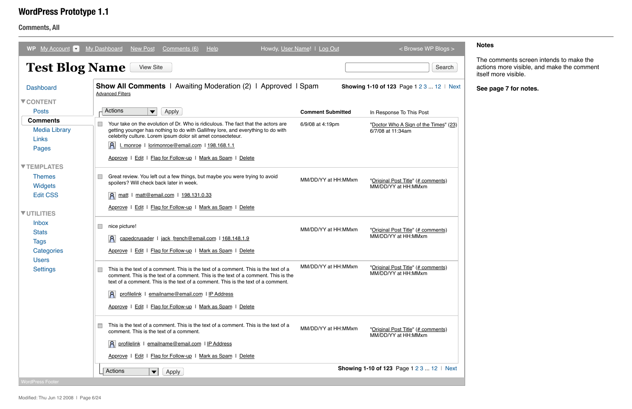| <b>WP</b><br>My Account <b>v</b> | <b>My Dashboard</b><br><b>New Post</b><br>He<br>Comments (6)                                                                                                                                                                                                  | Howdy, User Name!   Log Out | < Browse WP Blogs >                                       |
|----------------------------------|---------------------------------------------------------------------------------------------------------------------------------------------------------------------------------------------------------------------------------------------------------------|-----------------------------|-----------------------------------------------------------|
| <b>Test Blog Name</b>            | <b>View Site</b>                                                                                                                                                                                                                                              |                             | Search                                                    |
| <b>Dashboard</b>                 | <b>Show All Comments</b>   Awaiting Moderation (2)   Approved   Spam<br><b>Advanced Filters</b>                                                                                                                                                               |                             | <b>Showing 1-10 of 123</b> Page 1 2 3  12   Next          |
| <b>V CONTENT</b>                 |                                                                                                                                                                                                                                                               |                             |                                                           |
| <b>Posts</b>                     | Actions<br>Apply<br>$\blacktriangledown$                                                                                                                                                                                                                      | <b>Comment Submitted</b>    | In Response To This Post                                  |
| <b>Comments</b>                  | Your take on the evolution of Dr. Who is ridiculous. The fact that the actors are                                                                                                                                                                             | 6/9/08 at 4:19pm            | "Doctor Who A Sign of the Times" (23)                     |
| <b>Media Library</b>             | getting younger has nothing to do with Gallifrey lore, and everything to do with<br>celebrity culture. Lorem ipsum dolor sit amet consecteteur.                                                                                                               |                             | 6/7/08 at 11:34am                                         |
| Links                            | A <br>I. monroe   lorimonroe@email.com   198.168.1.1                                                                                                                                                                                                          |                             |                                                           |
| Pages                            | Approve   Edit   Flag for Follow-up   Mark as Spam   Delete                                                                                                                                                                                                   |                             |                                                           |
| <b>VTEMPLATES</b>                |                                                                                                                                                                                                                                                               |                             |                                                           |
| <b>Themes</b>                    | Great review. You left out a few things, but maybe you were trying to avoid                                                                                                                                                                                   |                             |                                                           |
| <b>Widgets</b>                   | spoilers? Will check back later in week.                                                                                                                                                                                                                      | MM/DD/YY at HH:MMxm         | "Original Post Title" (# comments)<br>MM/DD/YY at HH:MMxm |
| <b>Edit CSS</b>                  | matt@email.com   198.131.0.33<br> A <br>matt                                                                                                                                                                                                                  |                             |                                                           |
|                                  | Edit   Flag for Follow-up   Mark as Spam   Delete<br>Approve 1                                                                                                                                                                                                |                             |                                                           |
| <b>VUTILITIES</b>                |                                                                                                                                                                                                                                                               |                             |                                                           |
| <b>Inbox</b><br><b>Stats</b>     | nice picture!                                                                                                                                                                                                                                                 | MM/DD/YY at HH:MMxm         | "Original Post Title" (# comments)                        |
| <b>Tags</b>                      | $\mathsf{R}$<br>capedcrusader   jack_french@email.com   168.148.1.9                                                                                                                                                                                           |                             | MM/DD/YY at HH:MMxm                                       |
| Categories                       | Approve   Edit   Flag for Follow-up   Mark as Spam   Delete                                                                                                                                                                                                   |                             |                                                           |
| <b>Users</b>                     |                                                                                                                                                                                                                                                               |                             |                                                           |
| <b>Settings</b>                  | This is the text of a comment. This is the text of a comment. This is the text of a<br>comment. This is the text of a comment. This is the text of a comment. This is the<br>text of a comment. This is the text of a comment. This is the text of a comment. | MM/DD/YY at HH:MMxm         | "Original Post Title" (# comments)<br>MM/DD/YY at HH:MMxm |
|                                  | profilelink I emailname@email.com I IP Address<br> A                                                                                                                                                                                                          |                             |                                                           |
|                                  | Approve   Edit   Flag for Follow-up   Mark as Spam   Delete                                                                                                                                                                                                   |                             |                                                           |
|                                  |                                                                                                                                                                                                                                                               |                             |                                                           |
|                                  | This is the text of a comment. This is the text of a comment. This is the text of a<br>comment. This is the text of a comment.                                                                                                                                | MM/DD/YY at HH:MMxm         | "Original Post Title" (# comments)<br>MM/DD/YY at HH:MMxm |
|                                  | A profilelink I emailname@email.com I IP Address                                                                                                                                                                                                              |                             |                                                           |
|                                  | Approve   Edit   Flag for Follow-up   Mark as Spam   Delete                                                                                                                                                                                                   |                             |                                                           |
|                                  | Actions<br>Apply<br>$\blacktriangledown$                                                                                                                                                                                                                      |                             | <b>Showing 1-10 of 123</b> Page 1 2 3  12   Next          |
| <b>NordPress Footer</b>          |                                                                                                                                                                                                                                                               |                             |                                                           |

**Comments, All**

#### **Notes**

### **WordPress Prototype 1.1**

The comments screen intends to make the actions more visible, and make the comment itself more visible.

**See page 7 for notes.**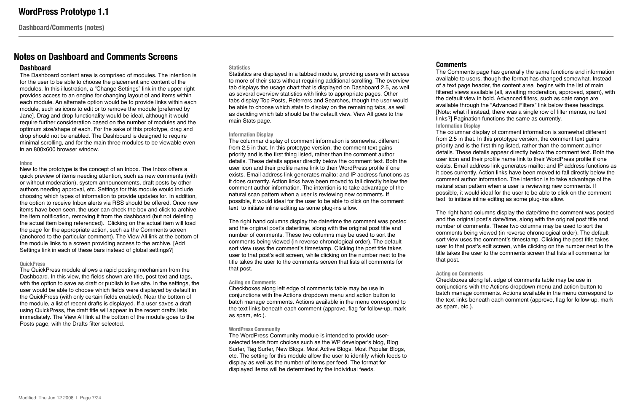**Dashboard/Comments (notes)**

### **Notes on Dashboard and Comments Screens**

#### **Dashboard**

The Dashboard content area is comprised of modules. The intention is for the user to be able to choose the placement and content of the modules. In this illustration, a "Change Settings" link in the upper right provides access to an engine for changing layout of and items within each module. An alternate option would be to provide links within each module, such as icons to edit or to remove the module [preferred by Jane]. Drag and drop functionality would be ideal, although it would require further consideration based on the number of modules and the optimum size/shape of each. For the sake of this prototype, drag and drop should not be enabled. The Dashboard is designed to require minimal scrolling, and for the main three modules to be viewable even in an 800x600 browser window.

#### **Inbox**

New to the prototype is the concept of an Inbox. The Inbox offers a quick preview of items needing attention, such as new comments (with or without moderation), system announcements, draft posts by other authors needing approval, etc. Settings for this module would include choosing which types of information to provide updates for. In addition, the option to receive Inbox alerts via RSS should be offered. Once new items have been seen, the user can check the box and click to archive the item notification, removing it from the dashboard (but not deleting the actual item being referenced). Clicking on the actual item will load the page for the appropriate action, such as the Comments screen (anchored to the particular comment). The View All link at the bottom of the module links to a screen providing access to the archive. [Add Settings link in each of these bars instead of global settings?]

#### **QuickPress**

The QuickPress module allows a rapid posting mechanism from the Dashboard. In this view, the fields shown are title, post text and tags, with the option to save as draft or publish to live site. In the settings, the user would be able to choose which fields were displayed by default in the QuickPress (with only certain fields enabled). Near the bottom of the module, a list of recent drafts is displayed. If a user saves a draft using QuickPress, the draft title will appear in the recent drafts lists immediately. The View All link at the bottom of the module goes to the Posts page, with the Drafts filter selected.

#### **Statistics**

Statistics are displayed in a tabbed module, providing users with access to more of their stats without requiring additional scrolling. The overview tab displays the usage chart that is displayed on Dashboard 2.5, as well as several overview statistics with links to appropriate pages. Other tabs display Top Posts, Referrers and Searches, though the user would be able to choose which stats to display on the remaining tabs, as well as deciding which tab should be the default view. View All goes to the main Stats page.

#### **Information Display**

The columnar display of comment information is somewhat different from 2.5 in that. In this prototype version, the comment text gains priority and is the first thing listed, rather than the comment author details. These details appear directly below the comment text. Both the user icon and their profile name link to their WordPress profile if one exists. Email address link generates mailto: and IP address functions as it does currently. Action links have been moved to fall directly below the comment author information. The intention is to take advantage of the natural scan pattern when a user is reviewing new comments. If possible, it would ideal for the user to be able to click on the comment text to initiate inline editing as some plug-ins allow.

The right hand columns display the date/time the comment was posted and the original post's date/time, along with the original post title and number of comments. These two columns may be used to sort the comments being viewed (in reverse chronological order). The default sort view uses the comment's timestamp. Clicking the post title takes user to that post's edit screen, while clicking on the number next to the title takes the user to the comments screen that lists all comments for that post.

#### **Acting on Comments**

Checkboxes along left edge of comments table may be use in conjunctions with the Actions dropdown menu and action button to batch manage comments. Actions available in the menu correspond to the text links beneath each comment (approve, flag for follow-up, mark as spam, etc.).

#### **WordPress Community**

The WordPress Community module is intended to provide userselected feeds from choices such as the WP developer's blog, Blog Surfer, Tag Surfer, New Blogs, Most Active Blogs, Most Popular Blogs, etc. The setting for this module allow the user to identify which feeds to display as well as the number of items per feed. The format for displayed items will be determined by the individual feeds.

#### **Comments**

The Comments page has generally the same functions and information available to users, though the format has changed somewhat. Instead of a text page header, the content area begins with the list of main filtered views available (all, awaiting moderation, approved, spam), with the default view in bold. Advanced filters, such as date range are available through the "Advanced Filters" link below these headings. [Note: what if instead, there was a single row of filter menus, no text links?] Pagination functions the same as currently.

**Information Display**

The columnar display of comment information is somewhat different from 2.5 in that. In this prototype version, the comment text gains priority and is the first thing listed, rather than the comment author details. These details appear directly below the comment text. Both the user icon and their profile name link to their WordPress profile if one exists. Email address link generates mailto: and IP address functions as it does currently. Action links have been moved to fall directly below the comment author information. The intention is to take advantage of the natural scan pattern when a user is reviewing new comments. If possible, it would ideal for the user to be able to click on the comment text to initiate inline editing as some plug-ins allow.

The right hand columns display the date/time the comment was posted and the original post's date/time, along with the original post title and number of comments. These two columns may be used to sort the comments being viewed (in reverse chronological order). The default sort view uses the comment's timestamp. Clicking the post title takes user to that post's edit screen, while clicking on the number next to the title takes the user to the comments screen that lists all comments for that post.

**Acting on Comments** Checkboxes along left edge of comments table may be use in conjunctions with the Actions dropdown menu and action button to batch manage comments. Actions available in the menu correspond to the text links beneath each comment (approve, flag for follow-up, mark as spam, etc.).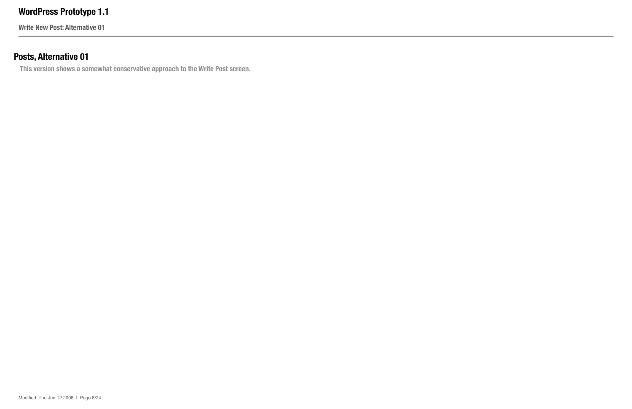**Write New Post: Alternative 01**

## **Posts, Alternative 01**

**This version shows a somewhat conservative approach to the Write Post screen.**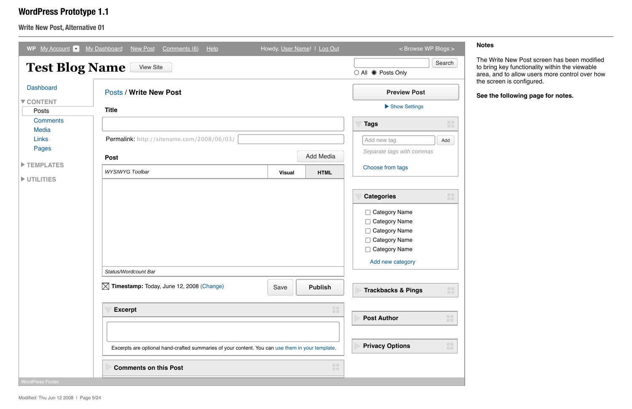**Write New Post, Alternative 01**

| My Account 7<br><b>WP</b>       | My Dashboard<br><b>New Post</b><br>Comments (6)<br>He                                                                            | Howdy, User Name!   Log Out |                  | < Browse WP Blogs >                                                                                                                                                                                 |                                 |
|---------------------------------|----------------------------------------------------------------------------------------------------------------------------------|-----------------------------|------------------|-----------------------------------------------------------------------------------------------------------------------------------------------------------------------------------------------------|---------------------------------|
| <b>Test Blog Name</b>           | <b>View Site</b>                                                                                                                 |                             |                  | ○ All ● Posts Only                                                                                                                                                                                  | Search                          |
| <b>Dashboard</b>                | <b>Posts / Write New Post</b>                                                                                                    |                             |                  | <b>Preview Post</b>                                                                                                                                                                                 |                                 |
| ▼ CONTENT                       |                                                                                                                                  |                             |                  | Show Settings                                                                                                                                                                                       |                                 |
| Posts                           | <b>Title</b>                                                                                                                     |                             |                  |                                                                                                                                                                                                     |                                 |
| <b>Comments</b><br><b>Media</b> |                                                                                                                                  |                             |                  | <b>Tags</b>                                                                                                                                                                                         | $\blacksquare$                  |
| <b>Links</b>                    | Permalink: http://sitename.com/2008/06/03/                                                                                       |                             |                  | Add new tag                                                                                                                                                                                         | Add                             |
| Pages                           | <b>Post</b>                                                                                                                      |                             | <b>Add Media</b> | Separate tags with commas                                                                                                                                                                           |                                 |
| TEMPLATES                       | <b>WYSIWYG Toolbar</b>                                                                                                           | <b>Visual</b>               | <b>HTML</b>      | Choose from tags                                                                                                                                                                                    |                                 |
|                                 | Status/Wordcount Bar<br>$\boxtimes$ Timestamp: Today, June 12, 2008 (Change)<br><b>Excerpt</b>                                   | Save                        | <b>Publish</b>   | <b>Categories</b><br><b>Category Name</b><br><b>Category Name</b><br><b>Category Name</b><br><b>Category Name</b><br><b>Category Name</b><br>П<br>Add new category<br><b>Trackbacks &amp; Pings</b> | <b>THE</b><br><b>TELEVISION</b> |
|                                 | Excerpts are optional hand-crafted summaries of your content. You can use them in your template.<br><b>Comments on this Post</b> |                             | <b>TILL</b>      | <b>Post Author</b><br><b>Privacy Options</b>                                                                                                                                                        | mm.<br><b>TELE</b>              |
| <b>WordPress Footer</b>         |                                                                                                                                  |                             |                  |                                                                                                                                                                                                     |                                 |

#### **Notes**

### **WordPress Prototype 1.1**

The Write New Post screen has been modified to bring key functionality within the viewable area, and to allow users more control over how the screen is configured.

**See the following page for notes.**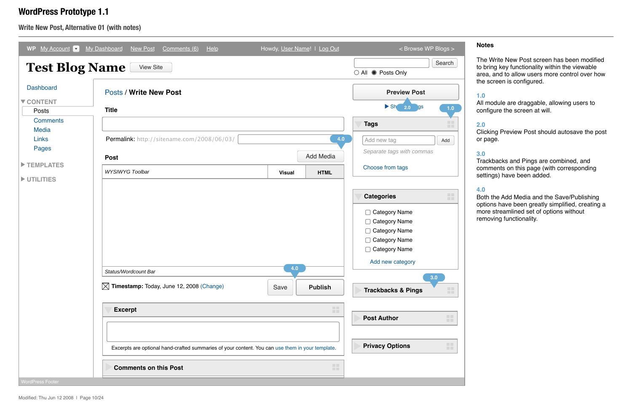All module are draggable, allowing users to configure the screen at will.

### **Write New Post, Alternative 01 (with notes)**

#### **Notes**

### **WordPress Prototype 1.1**

The Write New Post screen has been modified to bring key functionality within the viewable area, and to allow users more control over how the screen is configured.

#### **1.0**

#### **2.0**

Clicking Preview Post should autosave the post or page.

#### **3.0**

Trackbacks and Pings are combined, and comments on this page (with corresponding settings) have been added.

| WP $My$ Account $\blacktriangledown$ | My Dashboard<br>New Post<br>HeIp<br>Comments (6)                                                                                 | Howdy, User Name!   Log Out                     | < Browse WP Blogs >                                                                                                                                                                                                                  |
|--------------------------------------|----------------------------------------------------------------------------------------------------------------------------------|-------------------------------------------------|--------------------------------------------------------------------------------------------------------------------------------------------------------------------------------------------------------------------------------------|
| <b>Test Blog Name</b>                | <b>View Site</b>                                                                                                                 |                                                 | Search<br>○ All ● Posts Only                                                                                                                                                                                                         |
| <b>Dashboard</b>                     | <b>Posts / Write New Post</b>                                                                                                    |                                                 | <b>Preview Post</b>                                                                                                                                                                                                                  |
| ▼ CONTENT                            |                                                                                                                                  |                                                 | $\triangleright$ Sh $_{2.0}$ gs                                                                                                                                                                                                      |
| Posts                                | <b>Title</b>                                                                                                                     |                                                 | 1.0                                                                                                                                                                                                                                  |
| <b>Comments</b><br><b>Media</b>      |                                                                                                                                  |                                                 | <b>Tags</b><br><b>TIM</b>                                                                                                                                                                                                            |
| <b>Links</b>                         | Permalink: http://sitename.com/2008/06/03/                                                                                       | 4.0                                             | Add new tag<br>Add                                                                                                                                                                                                                   |
| Pages                                | <b>Post</b>                                                                                                                      | <b>Add Media</b>                                | Separate tags with commas                                                                                                                                                                                                            |
| TEMPLATES<br>UTILITIES               | <b>WYSIWYG Toolbar</b>                                                                                                           | <b>HTML</b><br><b>Visual</b>                    | Choose from tags                                                                                                                                                                                                                     |
|                                      | Status/Wordcount Bar<br>$\boxtimes$ Timestamp: Today, June 12, 2008 (Change)<br><b>Excerpt</b>                                   | 4.0<br><b>Publish</b><br>Save<br><b>TELESCO</b> | 噩<br><b>Categories</b><br>Category Name<br><b>Category Name</b><br><b>Category Name</b><br><b>Category Name</b><br>$\Box$ Category Name<br>Add new category<br>3.0<br>H<br><b>Trackbacks &amp; Pings</b><br>88<br><b>Post Author</b> |
| <b>WordPress Footer</b>              | Excerpts are optional hand-crafted summaries of your content. You can use them in your template.<br><b>Comments on this Post</b> | <b>TILL</b>                                     | H.<br><b>Privacy Options</b>                                                                                                                                                                                                         |

#### **4.0**

Both the Add Media and the Save/Publishing options have been greatly simplified, creating a more streamlined set of options without removing functionality.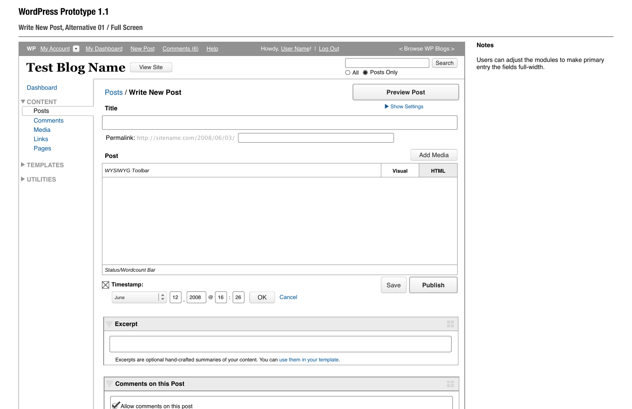### **Write New Post, Alternative 01 / Full Screen**

| <b>Dashboard</b>   |                                                                                                                                      |               |                     |
|--------------------|--------------------------------------------------------------------------------------------------------------------------------------|---------------|---------------------|
|                    | <b>Posts / Write New Post</b>                                                                                                        |               | <b>Preview Post</b> |
| ▼ CONTENT<br>Posts | <b>Title</b>                                                                                                                         | Show Settings |                     |
| <b>Comments</b>    |                                                                                                                                      |               |                     |
| <b>Media</b>       |                                                                                                                                      |               |                     |
| Links<br>Pages     | Permalink: http://sitename.com/2008/06/03/                                                                                           |               |                     |
|                    | <b>Post</b>                                                                                                                          |               | <b>Add Media</b>    |
| TEMPLATES          | <b>WYSIWYG Toolbar</b>                                                                                                               | <b>Visual</b> | <b>HTML</b>         |
|                    |                                                                                                                                      |               |                     |
| UTILITIES          | Status/Wordcount Bar                                                                                                                 |               |                     |
|                    | $\boxtimes$<br>Timestamp:<br>$ \div$<br>Cancel<br>OK<br>12<br>2008<br>$\circledcirc$ 16<br>26<br>June<br>$\mathcal{L}_{\mathcal{A}}$ | Save          | <b>Publish</b>      |
|                    | <b>Excerpt</b>                                                                                                                       |               |                     |

#### **Notes**

### **WordPress Prototype 1.1**

Users can adjust the modules to make primary entry the fields full-width.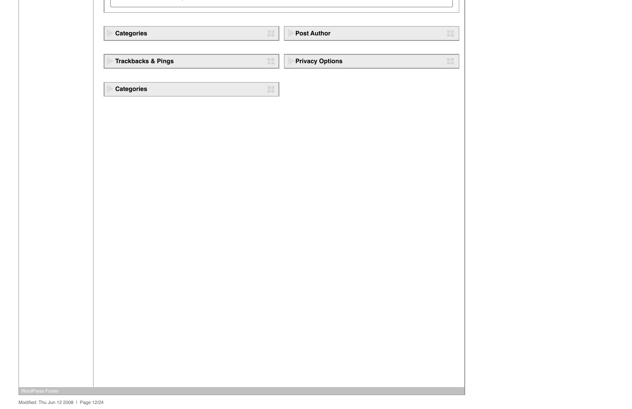| <b>Categories</b>             | a. | <b>Post Author</b>     |  |
|-------------------------------|----|------------------------|--|
|                               |    |                        |  |
| <b>Trackbacks &amp; Pings</b> | a. | <b>Privacy Options</b> |  |
| <b>Categories</b>             | a. |                        |  |
|                               |    |                        |  |
|                               |    |                        |  |
|                               |    |                        |  |
|                               |    |                        |  |
|                               |    |                        |  |
|                               |    |                        |  |
|                               |    |                        |  |
|                               |    |                        |  |
|                               |    |                        |  |
|                               |    |                        |  |
|                               |    |                        |  |
|                               |    |                        |  |
|                               |    |                        |  |
|                               |    |                        |  |
|                               |    |                        |  |
|                               |    |                        |  |

**WordPress Footer**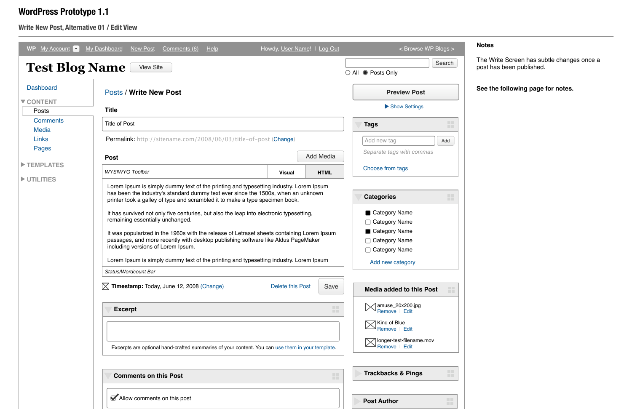### **Write New Post, Alternative 01 / Edit View**

| My Account v<br><b>WP</b><br><b>Test Blog Name</b> | Help<br>My Dashboard<br><b>New Post</b><br>Comments (6)<br><b>View Site</b>                                                                                                                                                                                                                                                                                                                                                                                                                                                                                                                                                                                                                                                                                                                                        | Howdy, User Name!   Log Out   | < Browse WP Blogs ><br>Search                                                                                                                                                                        |
|----------------------------------------------------|--------------------------------------------------------------------------------------------------------------------------------------------------------------------------------------------------------------------------------------------------------------------------------------------------------------------------------------------------------------------------------------------------------------------------------------------------------------------------------------------------------------------------------------------------------------------------------------------------------------------------------------------------------------------------------------------------------------------------------------------------------------------------------------------------------------------|-------------------------------|------------------------------------------------------------------------------------------------------------------------------------------------------------------------------------------------------|
| <b>Dashboard</b>                                   | <b>Posts / Write New Post</b>                                                                                                                                                                                                                                                                                                                                                                                                                                                                                                                                                                                                                                                                                                                                                                                      |                               | $\bigcirc$ All $\bigcirc$ Posts Only<br><b>Preview Post</b>                                                                                                                                          |
| ▼ CONTENT<br>Posts                                 | <b>Title</b>                                                                                                                                                                                                                                                                                                                                                                                                                                                                                                                                                                                                                                                                                                                                                                                                       |                               | Show Settings                                                                                                                                                                                        |
| <b>Comments</b><br><b>Media</b>                    | <b>Title of Post</b>                                                                                                                                                                                                                                                                                                                                                                                                                                                                                                                                                                                                                                                                                                                                                                                               |                               | $\Box$<br><b>Tags</b>                                                                                                                                                                                |
| Links<br>Pages                                     | Permalink: http://sitename.com/2008/06/03/title-of-post (Change)                                                                                                                                                                                                                                                                                                                                                                                                                                                                                                                                                                                                                                                                                                                                                   |                               | Add new tag<br>Add                                                                                                                                                                                   |
|                                                    | <b>Post</b>                                                                                                                                                                                                                                                                                                                                                                                                                                                                                                                                                                                                                                                                                                                                                                                                        | <b>Add Media</b>              | Separate tags with commas                                                                                                                                                                            |
| TEMPLATES<br>UTILITIES                             | <b>WYSIWYG Toolbar</b><br><b>Visual</b>                                                                                                                                                                                                                                                                                                                                                                                                                                                                                                                                                                                                                                                                                                                                                                            | <b>HTML</b>                   | Choose from tags                                                                                                                                                                                     |
|                                                    | Lorem Ipsum is simply dummy text of the printing and typesetting industry. Lorem Ipsum<br>has been the industry's standard dummy text ever since the 1500s, when an unknown<br>printer took a galley of type and scrambled it to make a type specimen book.<br>It has survived not only five centuries, but also the leap into electronic typesetting,<br>remaining essentially unchanged.<br>It was popularized in the 1960s with the release of Letraset sheets containing Lorem Ipsum<br>passages, and more recently with desktop publishing software like Aldus PageMaker<br>including versions of Lorem Ipsum.<br>Lorem Ipsum is simply dummy text of the printing and typesetting industry. Lorem Ipsum<br>Status/Wordcount Bar<br>Timestamp: Today, June 12, 2008 (Change)<br>$\bowtie$<br>Delete this Post | Save                          | <b>TELESCOPE</b><br><b>Categories</b><br><b>TILL</b><br>Category Name<br><b>Category Name</b><br>Category Name<br><b>Category Name</b><br><b>Category Name</b><br>Add new category<br><u>talian </u> |
|                                                    | <b>Excerpt</b><br>Excerpts are optional hand-crafted summaries of your content. You can use them in your template.                                                                                                                                                                                                                                                                                                                                                                                                                                                                                                                                                                                                                                                                                                 | <b>TT</b><br><b>TELESCOPE</b> | <b>Media added to this Post</b><br><b>TILL</b><br>amuse_20x200.jpg<br>Remove   Edit<br>Kind of Blue<br>Remove   Edit<br>longer-test-filename.mov<br>Remove   Edit                                    |
|                                                    | <b>Comments on this Post</b>                                                                                                                                                                                                                                                                                                                                                                                                                                                                                                                                                                                                                                                                                                                                                                                       | <b>TELE</b><br><b>TILL</b>    | <b>THE</b><br><b>Trackbacks &amp; Pings</b><br><b>TILL</b>                                                                                                                                           |
|                                                    | Allow comments on this post                                                                                                                                                                                                                                                                                                                                                                                                                                                                                                                                                                                                                                                                                                                                                                                        |                               | <b>Post Author</b><br><b>TELESCO</b>                                                                                                                                                                 |

### **Notes**

### **WordPress Prototype 1.1**

The Write Screen has subtle changes once a post has been published.

**See the following page for notes.**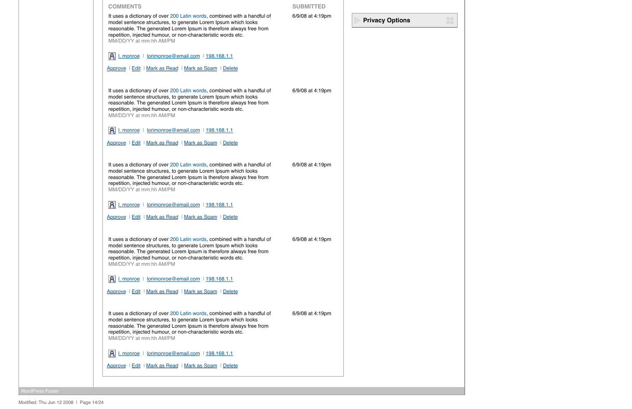| <b>COMMENTS</b>                                                                                                                                                                                                                                                                                               | <b>SUBMITTED</b> |                        |
|---------------------------------------------------------------------------------------------------------------------------------------------------------------------------------------------------------------------------------------------------------------------------------------------------------------|------------------|------------------------|
| It uses a dictionary of over 200 Latin words, combined with a handful of<br>model sentence structures, to generate Lorem Ipsum which looks<br>reasonable. The generated Lorem Ipsum is therefore always free from<br>repetition, injected humour, or non-characteristic words etc.<br>MM/DD/YY at mm:hh AM/PM | 6/9/08 at 4:19pm | <b>Privacy Options</b> |
| I. monroe   lorimonroe@email.com   198.168.1.1                                                                                                                                                                                                                                                                |                  |                        |
| Approve   Edit   Mark as Read   Mark as Spam   Delete                                                                                                                                                                                                                                                         |                  |                        |
| It uses a dictionary of over 200 Latin words, combined with a handful of<br>model sentence structures, to generate Lorem Ipsum which looks<br>reasonable. The generated Lorem Ipsum is therefore always free from<br>repetition, injected humour, or non-characteristic words etc.<br>MM/DD/YY at mm:hh AM/PM | 6/9/08 at 4:19pm |                        |
| I. monroe   lorimonroe@email.com   198.168.1.1                                                                                                                                                                                                                                                                |                  |                        |
| Approve   Edit   Mark as Read   Mark as Spam   Delete                                                                                                                                                                                                                                                         |                  |                        |
| It uses a dictionary of over 200 Latin words, combined with a handful of<br>model sentence structures, to generate Lorem Ipsum which looks<br>reasonable. The generated Lorem Ipsum is therefore always free from<br>repetition, injected humour, or non-characteristic words etc.<br>MM/DD/YY at mm:hh AM/PM | 6/9/08 at 4:19pm |                        |
| I. monroe   lorimonroe@email.com   198.168.1.1                                                                                                                                                                                                                                                                |                  |                        |
| Approve   Edit   Mark as Read   Mark as Spam   Delete                                                                                                                                                                                                                                                         |                  |                        |
| It uses a dictionary of over 200 Latin words, combined with a handful of<br>model sentence structures, to generate Lorem Ipsum which looks<br>reasonable. The generated Lorem Ipsum is therefore always free from<br>repetition, injected humour, or non-characteristic words etc.<br>MM/DD/YY at mm:hh AM/PM | 6/9/08 at 4:19pm |                        |
| I. monroe   lorimonroe@email.com   198.168.1.1                                                                                                                                                                                                                                                                |                  |                        |
| Approve   Edit   Mark as Read   Mark as Spam   Delete                                                                                                                                                                                                                                                         |                  |                        |
| It uses a dictionary of over 200 Latin words, combined with a handful of<br>model sentence structures, to generate Lorem Ipsum which looks<br>reasonable. The generated Lorem Ipsum is therefore always free from<br>repetition, injected humour, or non-characteristic words etc.<br>MM/DD/YY at mm:hh AM/PM | 6/9/08 at 4:19pm |                        |
| I. monroe   lorimonroe@email.com   198.168.1.1                                                                                                                                                                                                                                                                |                  |                        |
| Approve   Edit   Mark as Read   Mark as Spam   Delete                                                                                                                                                                                                                                                         |                  |                        |

WordPress Footer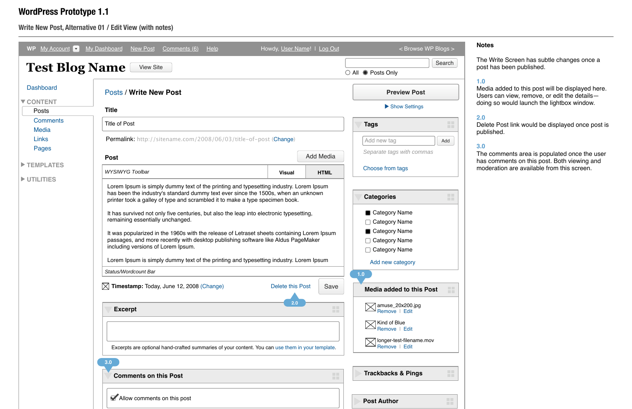### **Write New Post, Alternative 01 / Edit View (with notes)**

| <b>WP</b><br>My Account <b>v</b> | <b>My Dashboard</b><br>New Post<br>Comments (6)<br>Help                                                                                                                                                                                                                                                                                                                                                                                                                                  |                  | Howdy, User Name!   Log Out | < Browse WP Blogs >                                                                               |
|----------------------------------|------------------------------------------------------------------------------------------------------------------------------------------------------------------------------------------------------------------------------------------------------------------------------------------------------------------------------------------------------------------------------------------------------------------------------------------------------------------------------------------|------------------|-----------------------------|---------------------------------------------------------------------------------------------------|
| <b>Test Blog Name</b>            | <b>View Site</b>                                                                                                                                                                                                                                                                                                                                                                                                                                                                         |                  |                             | Search<br>$\bigcirc$ All $\bigcirc$ Posts Only                                                    |
| <b>Dashboard</b>                 | <b>Posts / Write New Post</b>                                                                                                                                                                                                                                                                                                                                                                                                                                                            |                  |                             | <b>Preview Post</b>                                                                               |
| <b>V CONTENT</b><br>Posts        | <b>Title</b>                                                                                                                                                                                                                                                                                                                                                                                                                                                                             |                  |                             | Show Settings                                                                                     |
| <b>Comments</b>                  | <b>Title of Post</b>                                                                                                                                                                                                                                                                                                                                                                                                                                                                     |                  |                             | H<br><b>Tags</b>                                                                                  |
| <b>Media</b>                     |                                                                                                                                                                                                                                                                                                                                                                                                                                                                                          |                  |                             |                                                                                                   |
| Links                            | Permalink: http://sitename.com/2008/06/03/title-of-post (Change)                                                                                                                                                                                                                                                                                                                                                                                                                         |                  |                             | Add new tag<br>Add                                                                                |
| Pages                            |                                                                                                                                                                                                                                                                                                                                                                                                                                                                                          |                  | <b>Add Media</b>            | Separate tags with commas                                                                         |
| TEMPLATES                        | <b>Post</b>                                                                                                                                                                                                                                                                                                                                                                                                                                                                              |                  |                             |                                                                                                   |
|                                  | <b>WYSIWYG Toolbar</b>                                                                                                                                                                                                                                                                                                                                                                                                                                                                   | <b>Visual</b>    | <b>HTML</b>                 | Choose from tags                                                                                  |
| UTILITIES                        | Lorem Ipsum is simply dummy text of the printing and typesetting industry. Lorem Ipsum<br>has been the industry's standard dummy text ever since the 1500s, when an unknown<br>printer took a galley of type and scrambled it to make a type specimen book.<br>It has survived not only five centuries, but also the leap into electronic typesetting,<br>remaining essentially unchanged.<br>It was popularized in the 1960s with the release of Letraset sheets containing Lorem Ipsum |                  |                             | <b>TELE</b><br><b>Categories</b><br>m a<br>Category Name<br><b>Category Name</b><br>Category Name |
|                                  | passages, and more recently with desktop publishing software like Aldus PageMaker<br>including versions of Lorem Ipsum.<br>Lorem Ipsum is simply dummy text of the printing and typesetting industry. Lorem Ipsum<br>Status/Wordcount Bar                                                                                                                                                                                                                                                |                  |                             | <b>Category Name</b><br><b>Category Name</b><br>Add new category                                  |
|                                  | $\bowtie$ Timestamp: Today, June 12, 2008 (Change)                                                                                                                                                                                                                                                                                                                                                                                                                                       | Delete this Post | Save                        | 1.0<br>H<br><b>Media added to this Post</b>                                                       |
|                                  | <b>Excerpt</b>                                                                                                                                                                                                                                                                                                                                                                                                                                                                           | 2.0              | <b>TEL</b><br><b>THE</b>    | amuse_20x200.jpg<br>Remove   Edit                                                                 |
|                                  |                                                                                                                                                                                                                                                                                                                                                                                                                                                                                          |                  |                             | Kind of Blue<br>Remove   Edit                                                                     |
|                                  | Excerpts are optional hand-crafted summaries of your content. You can use them in your template.                                                                                                                                                                                                                                                                                                                                                                                         |                  |                             | longer-test-filename.mov<br>Remove   Edit                                                         |
|                                  | 3.0<br><b>Comments on this Post</b>                                                                                                                                                                                                                                                                                                                                                                                                                                                      |                  | <b>THE</b><br><b>THE</b>    | m<br><b>Trackbacks &amp; Pings</b>                                                                |
|                                  | Allow comments on this post                                                                                                                                                                                                                                                                                                                                                                                                                                                              |                  |                             | $\Box$ .<br><b>Post Author</b><br><b>COLL</b>                                                     |

#### **Notes**

### **WordPress Prototype 1.1**

The comments area is populated once the user has comments on this post. Both viewing and moderation are available from this screen.

The Write Screen has subtle changes once a post has been published.

#### **1.0**

Media added to this post will be displayed here. Users can view, remove, or edit the details doing so would launch the lightbox window.

#### **2.0**

Delete Post link would be displayed once post is published.

#### **3.0**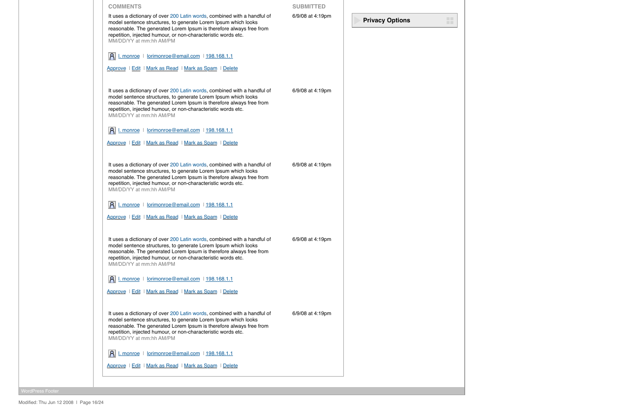| <b>COMMENTS</b>                                                                                                                                                                                                                                                                                               | <b>SUBMITTED</b> |                        |
|---------------------------------------------------------------------------------------------------------------------------------------------------------------------------------------------------------------------------------------------------------------------------------------------------------------|------------------|------------------------|
| It uses a dictionary of over 200 Latin words, combined with a handful of<br>model sentence structures, to generate Lorem Ipsum which looks<br>reasonable. The generated Lorem Ipsum is therefore always free from<br>repetition, injected humour, or non-characteristic words etc.<br>MM/DD/YY at mm:hh AM/PM | 6/9/08 at 4:19pm | <b>Privacy Options</b> |
| I. monroe   lorimonroe@email.com   198.168.1.1                                                                                                                                                                                                                                                                |                  |                        |
| Approve   Edit   Mark as Read   Mark as Spam   Delete                                                                                                                                                                                                                                                         |                  |                        |
| It uses a dictionary of over 200 Latin words, combined with a handful of<br>model sentence structures, to generate Lorem Ipsum which looks<br>reasonable. The generated Lorem Ipsum is therefore always free from<br>repetition, injected humour, or non-characteristic words etc.<br>MM/DD/YY at mm:hh AM/PM | 6/9/08 at 4:19pm |                        |
| I. monroe   lorimonroe@email.com   198.168.1.1                                                                                                                                                                                                                                                                |                  |                        |
| Approve   Edit   Mark as Read   Mark as Spam   Delete                                                                                                                                                                                                                                                         |                  |                        |
| It uses a dictionary of over 200 Latin words, combined with a handful of<br>model sentence structures, to generate Lorem Ipsum which looks<br>reasonable. The generated Lorem Ipsum is therefore always free from<br>repetition, injected humour, or non-characteristic words etc.<br>MM/DD/YY at mm:hh AM/PM | 6/9/08 at 4:19pm |                        |
| I. monroe   lorimonroe@email.com   198.168.1.1                                                                                                                                                                                                                                                                |                  |                        |
| Approve   Edit   Mark as Read   Mark as Spam   Delete                                                                                                                                                                                                                                                         |                  |                        |
| It uses a dictionary of over 200 Latin words, combined with a handful of<br>model sentence structures, to generate Lorem Ipsum which looks<br>reasonable. The generated Lorem Ipsum is therefore always free from<br>repetition, injected humour, or non-characteristic words etc.<br>MM/DD/YY at mm:hh AM/PM | 6/9/08 at 4:19pm |                        |
| A L monroe   lorimonroe@email.com   198.168.1.1                                                                                                                                                                                                                                                               |                  |                        |
| Approve   Edit   Mark as Read   Mark as Spam   Delete                                                                                                                                                                                                                                                         |                  |                        |
| It uses a dictionary of over 200 Latin words, combined with a handful of<br>model sentence structures, to generate Lorem Ipsum which looks<br>reasonable. The generated Lorem Ipsum is therefore always free from<br>repetition, injected humour, or non-characteristic words etc.<br>MM/DD/YY at mm:hh AM/PM | 6/9/08 at 4:19pm |                        |
| I. monroe   lorimonroe@email.com   198.168.1.1                                                                                                                                                                                                                                                                |                  |                        |
| Approve   Edit   Mark as Read   Mark as Spam   Delete                                                                                                                                                                                                                                                         |                  |                        |

WordPress Footer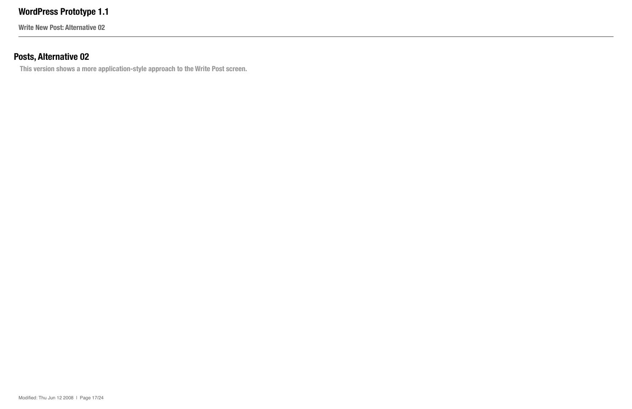**Write New Post: Alternative 02**

## **Posts, Alternative 02**

**This version shows a more application-style approach to the Write Post screen.**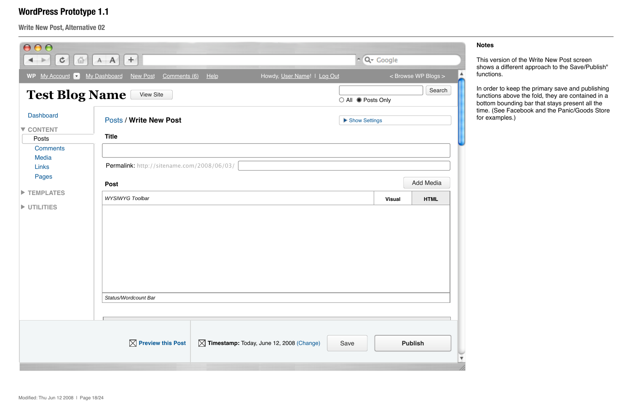**Write New Post, Alternative 02**

| 000<br>¢<br>$\rightarrow$<br>仙                            | ÷.<br>$A$ $A$                                             |    |                                                      |                    | $\sim$ $Q$ Google |                     |
|-----------------------------------------------------------|-----------------------------------------------------------|----|------------------------------------------------------|--------------------|-------------------|---------------------|
| WP My Account<br>$\lfloor \mathbf{v} \rfloor$             | My Dashboard<br>New Post<br>Comments (6)                  | He | Howdy, User Name!   Log Out                          |                    |                   | < Browse WP Blogs > |
| <b>Test Blog Name</b>                                     | <b>View Site</b>                                          |    |                                                      | ○ All ● Posts Only |                   | Search              |
| <b>Dashboard</b><br>▼ CONTENT<br>Posts<br><b>Comments</b> | <b>Posts / Write New Post</b><br><b>Title</b>             |    |                                                      | Show Settings      |                   |                     |
| <b>Media</b><br><b>Links</b><br>Pages                     | Permalink: http://sitename.com/2008/06/03/<br><b>Post</b> |    |                                                      |                    |                   | <b>Add Media</b>    |
| TEMPLATES<br><b>DESIGNATION</b>                           | <b>WYSIWYG Toolbar</b><br>Status/Wordcount Bar            |    |                                                      |                    | <b>Visual</b>     | <b>HTML</b>         |
|                                                           | $\boxtimes$ Preview this Post                             |    | $\boxtimes$ Timestamp: Today, June 12, 2008 (Change) | Save               |                   | <b>Publish</b>      |

#### **Notes**

This version of the Write New Post screen shows a different approach to the Save/Publish" functions.

In order to keep the primary save and publishing functions above the fold, they are contained in a bottom bounding bar that stays present all the time. (See Facebook and the Panic/Goods Store for examples.)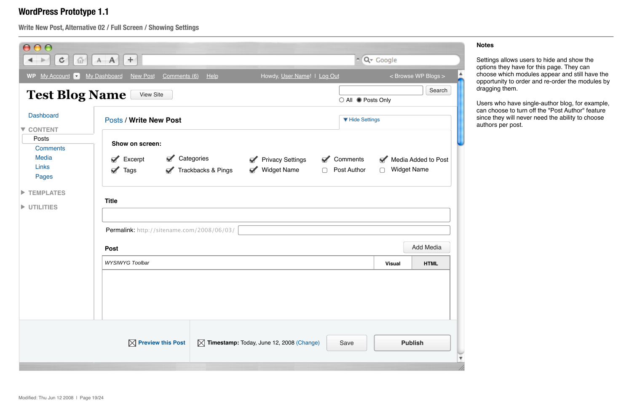**Write New Post, Alternative 02 / Full Screen / Showing Settings**

Users who have single-author blog, for example, can choose to turn off the "Post Author" feature since they will never need the ability to choose authors per post.

| 000<br>¢<br>冚                                                                                                  | 土<br>$A \mid A \mid$                                                                                                       |                               |                                                                               |                                   | ~ Q ~ Google             |                                           |  |
|----------------------------------------------------------------------------------------------------------------|----------------------------------------------------------------------------------------------------------------------------|-------------------------------|-------------------------------------------------------------------------------|-----------------------------------|--------------------------|-------------------------------------------|--|
| My Account V<br><b>WP</b>                                                                                      | <b>My Dashboard</b><br>New Post<br>Comments (6)                                                                            | Help                          | Howdy, User Name!   Log Out                                                   |                                   |                          | < Browse WP Blogs >                       |  |
| <b>Test Blog Name</b>                                                                                          | <b>View Site</b>                                                                                                           |                               |                                                                               | ○ All ● Posts Only                |                          | Search                                    |  |
| <b>Dashboard</b><br><b>V CONTENT</b>                                                                           | <b>Posts / Write New Post</b>                                                                                              |                               |                                                                               |                                   | ▼ Hide Settings          |                                           |  |
| Posts<br><b>Comments</b><br><b>Media</b><br><b>Links</b><br>Pages<br><b>TEMPLATES</b><br>$\blacktriangleright$ | Show on screen:<br>Categories<br>Excerpt<br>$\blacksquare$<br>$\blacktriangledown$<br>$\mathbf{z}$<br>Tags<br><b>Title</b> | <b>Trackbacks &amp; Pings</b> | <b>Privacy Settings</b><br>$\mathbf{z}$<br>$\mathbf{z}$<br><b>Widget Name</b> | Comments<br>$\Box$<br>Post Author | $\blacksquare$<br>$\Box$ | Media Added to Post<br><b>Widget Name</b> |  |
| <b>DESIGNATION</b>                                                                                             | Permalink: http://sitename.com/2008/06/03/<br><b>Post</b>                                                                  |                               |                                                                               |                                   |                          | <b>Add Media</b>                          |  |
|                                                                                                                | <b>WYSIWYG Toolbar</b>                                                                                                     |                               |                                                                               |                                   | <b>Visual</b>            | <b>HTML</b>                               |  |
|                                                                                                                |                                                                                                                            |                               |                                                                               |                                   |                          |                                           |  |
|                                                                                                                | $\boxtimes$ Preview this Post                                                                                              |                               | $\boxtimes$ Timestamp: Today, June 12, 2008 (Change)                          | Save                              |                          | <b>Publish</b>                            |  |

#### **Notes**

Settings allows users to hide and show the options they have for this page. They can choose which modules appear and still have the opportunity to order and re-order the modules by dragging them.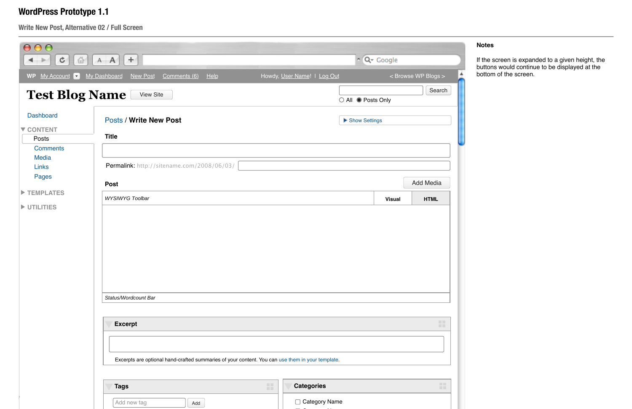**Write New Post, Alternative 02 / Full Screen**

| ¢<br>仙<br>WP My Account         | $A$ $A$ $+$<br>My Dashboard<br>New Post<br>Comments (6)<br>Help                                  | Howdy, User Name!   Log Out | $\sim$ Q $\sim$ Google | < Browse WP Blogs > |
|---------------------------------|--------------------------------------------------------------------------------------------------|-----------------------------|------------------------|---------------------|
| <b>Test Blog Name</b>           | <b>View Site</b>                                                                                 |                             | ○ All ● Posts Only     | Search              |
| <b>Dashboard</b>                | <b>Posts / Write New Post</b>                                                                    | Show Settings               |                        |                     |
| ▼ CONTENT<br>Posts              | <b>Title</b>                                                                                     |                             |                        |                     |
| <b>Comments</b><br><b>Media</b> |                                                                                                  |                             |                        |                     |
| <b>Links</b><br>Pages           | Permalink: http://sitename.com/2008/06/03/<br><b>Post</b>                                        |                             |                        | <b>Add Media</b>    |
| TEMPLATES                       | <b>WYSIWYG Toolbar</b>                                                                           |                             |                        | <b>HTML</b>         |
|                                 |                                                                                                  |                             | <b>Visual</b>          |                     |
|                                 |                                                                                                  |                             |                        |                     |
|                                 | Status/Wordcount Bar                                                                             |                             |                        |                     |
|                                 | <b>Excerpt</b>                                                                                   |                             |                        | <b>COLL</b><br>mar. |
|                                 |                                                                                                  |                             |                        |                     |
| UTILITIES                       | Excerpts are optional hand-crafted summaries of your content. You can use them in your template. |                             |                        |                     |

### **Notes**

If the screen is expanded to a given height, the buttons would continue to be displayed at the bottom of the screen.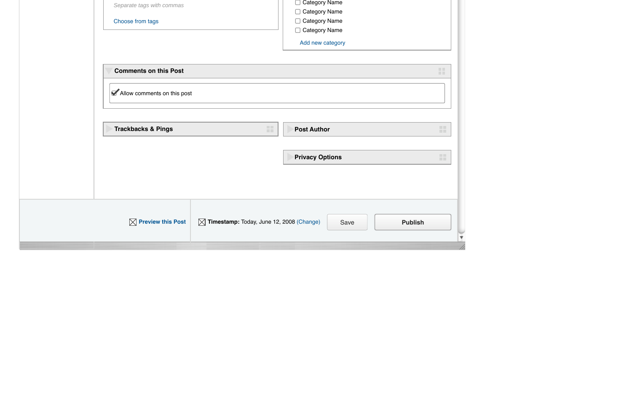| Separate tags with commas<br>Choose from tags               |                                                      | <b>Category Name</b><br><b>Category Name</b><br>□ Category Name<br>Category Name<br>Add new category |                |
|-------------------------------------------------------------|------------------------------------------------------|------------------------------------------------------------------------------------------------------|----------------|
| <b>Comments on this Post</b><br>Allow comments on this post |                                                      |                                                                                                      | 讍              |
| <b>Trackbacks &amp; Pings</b>                               | 讍                                                    | <b>Post Author</b><br><b>Privacy Options</b>                                                         | 88<br>88       |
|                                                             |                                                      |                                                                                                      |                |
| $\boxtimes$ Preview this Post                               | $\boxtimes$ Timestamp: Today, June 12, 2008 (Change) | Save                                                                                                 | <b>Publish</b> |

v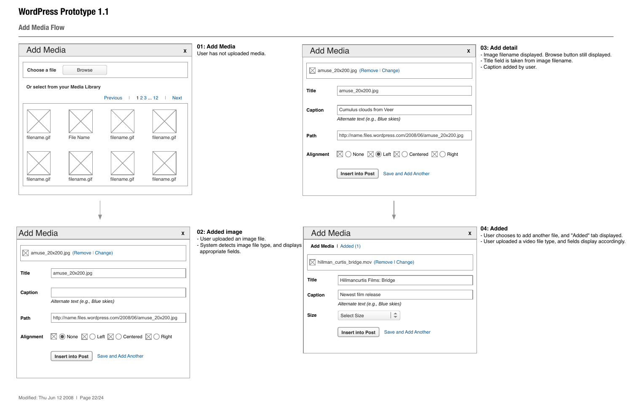

### **Add Media Flow**

#### **03: Add detail**

- Image filename displayed. Browse button still displayed.

- Title field is taken from image filename.
- Caption added by user.



#### **04: Added**

- User chooses to add another file, and "Added" tab displayed.
- User uploaded a video file type, and fields display accordingly.

| 01: Add Media<br>User has not uploaded media.                         | <b>Add Media</b>               | X                                                                                |
|-----------------------------------------------------------------------|--------------------------------|----------------------------------------------------------------------------------|
|                                                                       |                                | $\boxtimes$ amuse_20x200.jpg (Remove   Change)                                   |
|                                                                       | <b>Title</b>                   | amuse_20x200.jpg                                                                 |
|                                                                       | Caption                        | Cumulus clouds from Veer<br>Alternate text (e.g., Blue skies)                    |
|                                                                       | Path                           | http://name.files.wordpress.com/2008/06/amuse_20x200.jpg                         |
|                                                                       | Alignment                      | $\boxtimes$ O None $\boxtimes$ O Left $\boxtimes$ O Centered $\boxtimes$ O Right |
|                                                                       |                                | Save and Add Another<br><b>Insert into Post</b>                                  |
|                                                                       |                                |                                                                                  |
|                                                                       |                                |                                                                                  |
| 02: Added image                                                       | <b>Add Media</b>               | X                                                                                |
| - System detects image file type, and displays<br>appropriate fields. |                                | Add Media   Added (1)                                                            |
|                                                                       |                                | M hillman_curtis_bridge.mov (Remove I Change)                                    |
|                                                                       | <b>Title</b>                   | Hillmancurtis Films: Bridge                                                      |
|                                                                       | Caption                        | Newest film release                                                              |
|                                                                       |                                | Alternate text (e.g., Blue skies)                                                |
|                                                                       | <b>Size</b>                    | $\Rightarrow$<br><b>Select Size</b>                                              |
|                                                                       |                                | <b>Insert into Post</b><br>Save and Add Another                                  |
|                                                                       |                                |                                                                                  |
| $\boldsymbol{\mathsf{X}}$                                             | - User uploaded an image file. |                                                                                  |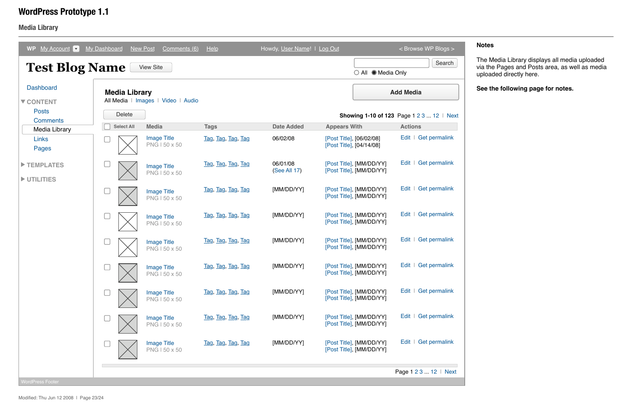### **Media Library**

### **Notes**

### **WordPress Prototype 1.1**

| My Account v<br><b>WP</b>                     | <b>My Dashboard</b>                   | <b>New Post</b><br>Comments (6)     | He                 | Howdy, User Name!   Log Out |                                                      | < Browse WP Blogs >                                                  |
|-----------------------------------------------|---------------------------------------|-------------------------------------|--------------------|-----------------------------|------------------------------------------------------|----------------------------------------------------------------------|
| <b>Test Blog Name</b>                         |                                       | <b>View Site</b>                    |                    |                             | $\bigcirc$ All $\bigcirc$ Media Only                 | Search                                                               |
| <b>Dashboard</b><br>▼ CONTENT<br><b>Posts</b> | <b>Media Library</b><br><b>Delete</b> | All Media   Images   Video   Audio  |                    |                             |                                                      | <b>Add Media</b><br><b>Showing 1-10 of 123</b> Page 1 2 3  12   Next |
| <b>Comments</b><br>Media Library              | <b>Select All</b>                     | <b>Media</b>                        | <b>Tags</b>        | <b>Date Added</b>           | <b>Appears With</b>                                  | <b>Actions</b>                                                       |
| Links<br>Pages                                |                                       | <b>Image Title</b><br>PNG I 50 x 50 | Tag, Tag, Tag, Tag | 06/02/08                    | [Post Title], [06/02/08]<br>[Post Title], [04/14/08] | Edit   Get permalink                                                 |
| TEMPLATES<br>UTILITIES                        |                                       | <b>Image Title</b><br>PNG I 50 x 50 | Tag, Tag, Tag, Tag | 06/01/08<br>(See All 17)    | [Post Title], [MM/DD/YY]<br>[Post Title], [MM/DD/YY] | <b>Get permalink</b><br>Edit                                         |
|                                               |                                       | <b>Image Title</b><br>PNG I 50 x 50 | Tag, Tag, Tag, Tag | [MM/DD/YY]                  | [Post Title], [MM/DD/YY]<br>[Post Title], [MM/DD/YY] | <b>Get permalink</b><br>Edit                                         |
|                                               |                                       | <b>Image Title</b><br>PNG I 50 x 50 | Tag, Tag, Tag, Tag | [MM/DD/YY]                  | [Post Title], [MM/DD/YY]<br>[Post Title], [MM/DD/YY] | Edit   Get permalink                                                 |
|                                               |                                       | <b>Image Title</b><br>PNG I 50 x 50 | Tag, Tag, Tag, Tag | [MM/DD/YY]                  | [Post Title], [MM/DD/YY]<br>[Post Title], [MM/DD/YY] | Edit   Get permalink                                                 |
|                                               |                                       | <b>Image Title</b><br>PNG I 50 x 50 | Tag, Tag, Tag, Tag | [MM/DD/YY]                  | [Post Title], [MM/DD/YY]<br>[Post Title], [MM/DD/YY] | Edit   Get permalink                                                 |
|                                               |                                       | <b>Image Title</b><br>PNG   50 x 50 | Tag, Tag, Tag, Tag | [MM/DD/YY]                  | [Post Title], [MM/DD/YY]<br>[Post Title], [MM/DD/YY] | Edit   Get permalink                                                 |
|                                               |                                       | <b>Image Title</b><br>PNG I 50 x 50 | Tag, Tag, Tag, Tag | [MM/DD/YY]                  | [Post Title], [MM/DD/YY]<br>[Post Title], [MM/DD/YY] | Edit   Get permalink                                                 |
|                                               |                                       | <b>Image Title</b><br>PNG I 50 x 50 | Tag, Tag, Tag, Tag | [MM/DD/YY]                  | [Post Title], [MM/DD/YY]<br>[Post Title], [MM/DD/YY] | Edit   Get permalink                                                 |
|                                               |                                       |                                     |                    |                             |                                                      | Page 1 2 3  12   Next                                                |

The Media Library displays all media uploaded via the Pages and Posts area, as well as media uploaded directly here.

**See the following page for notes.**